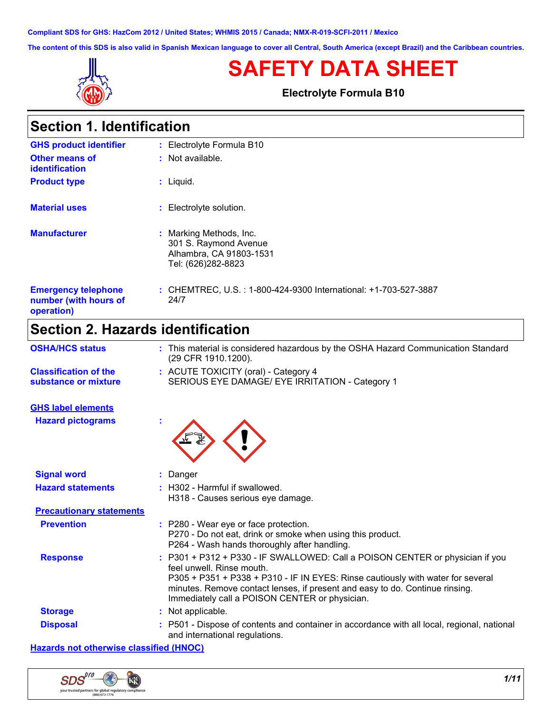**Compliant SDS for GHS: HazCom 2012 / United States; WHMIS 2015 / Canada; NMX-R-019-SCFI-2011 / Mexico**

**The content of this SDS is also valid in Spanish Mexican language to cover all Central, South America (except Brazil) and the Caribbean countries.**



# **SAFETY DATA SHEET**

**Electrolyte Formula B10**

| Section 1. Identification |  |
|---------------------------|--|
|---------------------------|--|

| <b>GHS product identifier</b>                                     | : Electrolyte Formula B10                                                                         |
|-------------------------------------------------------------------|---------------------------------------------------------------------------------------------------|
| <b>Other means of</b><br><i>identification</i>                    | $:$ Not available.                                                                                |
| <b>Product type</b>                                               | $:$ Liquid.                                                                                       |
| <b>Material uses</b>                                              | : Electrolyte solution.                                                                           |
| <b>Manufacturer</b>                                               | : Marking Methods, Inc.<br>301 S. Raymond Avenue<br>Alhambra, CA 91803-1531<br>Tel: (626)282-8823 |
| <b>Emergency telephone</b><br>number (with hours of<br>operation) | : CHEMTREC, U.S.: 1-800-424-9300 International: +1-703-527-3887<br>24/7                           |

# **Section 2. Hazards identification**

| <b>OSHA/HCS status</b>                               | This material is considered hazardous by the OSHA Hazard Communication Standard<br>(29 CFR 1910.1200).                                                                                                                                                                                                                        |
|------------------------------------------------------|-------------------------------------------------------------------------------------------------------------------------------------------------------------------------------------------------------------------------------------------------------------------------------------------------------------------------------|
| <b>Classification of the</b><br>substance or mixture | : ACUTE TOXICITY (oral) - Category 4<br>SERIOUS EYE DAMAGE/ EYE IRRITATION - Category 1                                                                                                                                                                                                                                       |
| <b>GHS label elements</b>                            |                                                                                                                                                                                                                                                                                                                               |
| <b>Hazard pictograms</b>                             |                                                                                                                                                                                                                                                                                                                               |
| <b>Signal word</b>                                   | Danger                                                                                                                                                                                                                                                                                                                        |
| <b>Hazard statements</b>                             | H302 - Harmful if swallowed.<br>H318 - Causes serious eye damage.                                                                                                                                                                                                                                                             |
| <b>Precautionary statements</b>                      |                                                                                                                                                                                                                                                                                                                               |
| <b>Prevention</b>                                    | : P280 - Wear eye or face protection.<br>P270 - Do not eat, drink or smoke when using this product.<br>P264 - Wash hands thoroughly after handling.                                                                                                                                                                           |
| <b>Response</b>                                      | P301 + P312 + P330 - IF SWALLOWED: Call a POISON CENTER or physician if you<br>feel unwell. Rinse mouth.<br>P305 + P351 + P338 + P310 - IF IN EYES: Rinse cautiously with water for several<br>minutes. Remove contact lenses, if present and easy to do. Continue rinsing.<br>Immediately call a POISON CENTER or physician. |
| <b>Storage</b>                                       | Not applicable.                                                                                                                                                                                                                                                                                                               |
| <b>Disposal</b>                                      | P501 - Dispose of contents and container in accordance with all local, regional, national<br>and international regulations.                                                                                                                                                                                                   |

**Hazards not otherwise classified (HNOC)**

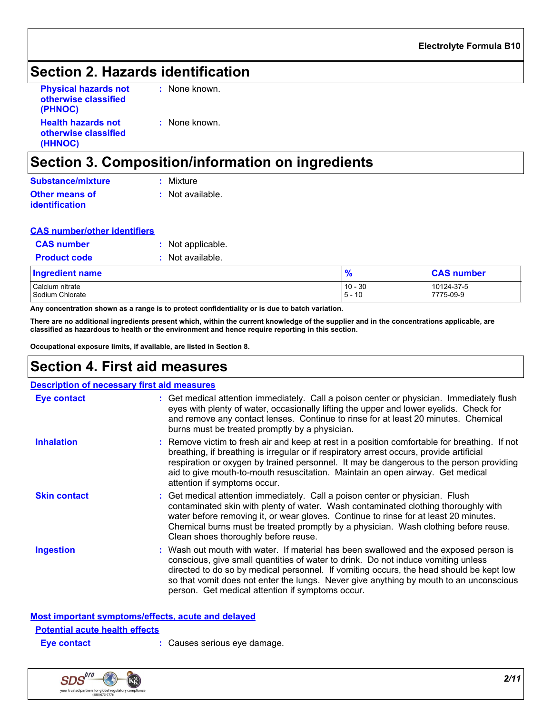## **Section 2. Hazards identification**

| <b>Physical hazards not</b> | $:$ None |
|-----------------------------|----------|
| otherwise classified        |          |
| (PHNOC)                     |          |
| <b>Health hazards not</b>   | $:$ None |
| otherwise classified        |          |
| (HHNOC)                     |          |

 $e$  known.

e known.

# **Section 3. Composition/information on ingredients**

| Substance/mixture     | : Mixture        |
|-----------------------|------------------|
| <b>Other means of</b> | : Not available. |
| <i>identification</i> |                  |

| <b>CAS number/other identifiers</b> |
|-------------------------------------|
|-------------------------------------|

| <b>CAS number</b>   | : Not applicable. |    |
|---------------------|-------------------|----|
| <b>Product code</b> | : Not available.  |    |
| ngredient name      |                   |    |
| Calojum nitrato     |                   | 10 |

| <b>Indredient name</b> | $\bullet$<br>70               | $\bigcap$<br>number ر |
|------------------------|-------------------------------|-----------------------|
| Calcium nitrate        | $10 - 30$                     | 10124-37-5            |
| Sodium Chlorate        | $\overline{A}$<br>$-5$<br>1 U | 7775-09-9             |

**Any concentration shown as a range is to protect confidentiality or is due to batch variation.**

**There are no additional ingredients present which, within the current knowledge of the supplier and in the concentrations applicable, are classified as hazardous to health or the environment and hence require reporting in this section.**

**Occupational exposure limits, if available, are listed in Section 8.**

## **Section 4. First aid measures**

| <b>Description of necessary first aid measures</b> |                                                                                                                                                                                                                                                                                                                                                                                                                     |  |
|----------------------------------------------------|---------------------------------------------------------------------------------------------------------------------------------------------------------------------------------------------------------------------------------------------------------------------------------------------------------------------------------------------------------------------------------------------------------------------|--|
| Eye contact                                        | : Get medical attention immediately. Call a poison center or physician. Immediately flush<br>eyes with plenty of water, occasionally lifting the upper and lower eyelids. Check for<br>and remove any contact lenses. Continue to rinse for at least 20 minutes. Chemical<br>burns must be treated promptly by a physician.                                                                                         |  |
| <b>Inhalation</b>                                  | : Remove victim to fresh air and keep at rest in a position comfortable for breathing. If not<br>breathing, if breathing is irregular or if respiratory arrest occurs, provide artificial<br>respiration or oxygen by trained personnel. It may be dangerous to the person providing<br>aid to give mouth-to-mouth resuscitation. Maintain an open airway. Get medical<br>attention if symptoms occur.              |  |
| <b>Skin contact</b>                                | : Get medical attention immediately. Call a poison center or physician. Flush<br>contaminated skin with plenty of water. Wash contaminated clothing thoroughly with<br>water before removing it, or wear gloves. Continue to rinse for at least 20 minutes.<br>Chemical burns must be treated promptly by a physician. Wash clothing before reuse.<br>Clean shoes thoroughly before reuse.                          |  |
| Ingestion                                          | : Wash out mouth with water. If material has been swallowed and the exposed person is<br>conscious, give small quantities of water to drink. Do not induce vomiting unless<br>directed to do so by medical personnel. If vomiting occurs, the head should be kept low<br>so that vomit does not enter the lungs. Never give anything by mouth to an unconscious<br>person. Get medical attention if symptoms occur. |  |

**Most important symptoms/effects, acute and delayed**

### **Potential acute health effects**

**Eye contact :** Causes serious eye damage.

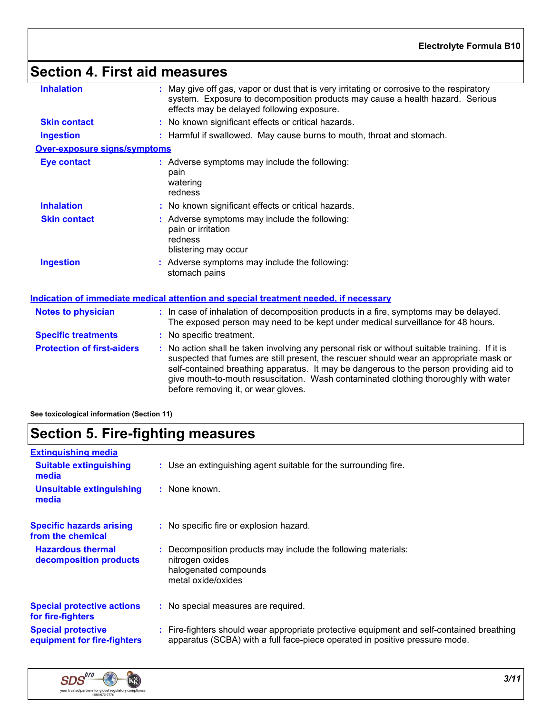# **Section 4. First aid measures**

| <b>Inhalation</b>                 | May give off gas, vapor or dust that is very irritating or corrosive to the respiratory<br>system. Exposure to decomposition products may cause a health hazard. Serious<br>effects may be delayed following exposure.                                                                                                                                                                                          |  |
|-----------------------------------|-----------------------------------------------------------------------------------------------------------------------------------------------------------------------------------------------------------------------------------------------------------------------------------------------------------------------------------------------------------------------------------------------------------------|--|
| <b>Skin contact</b>               | : No known significant effects or critical hazards.                                                                                                                                                                                                                                                                                                                                                             |  |
| <b>Ingestion</b>                  | : Harmful if swallowed. May cause burns to mouth, throat and stomach.                                                                                                                                                                                                                                                                                                                                           |  |
| Over-exposure signs/symptoms      |                                                                                                                                                                                                                                                                                                                                                                                                                 |  |
| <b>Eye contact</b>                | : Adverse symptoms may include the following:<br>pain<br>watering<br>redness                                                                                                                                                                                                                                                                                                                                    |  |
| <b>Inhalation</b>                 | : No known significant effects or critical hazards.                                                                                                                                                                                                                                                                                                                                                             |  |
| <b>Skin contact</b>               | : Adverse symptoms may include the following:<br>pain or irritation<br>redness<br>blistering may occur                                                                                                                                                                                                                                                                                                          |  |
| <b>Ingestion</b>                  | Adverse symptoms may include the following:<br>stomach pains                                                                                                                                                                                                                                                                                                                                                    |  |
|                                   | Indication of immediate medical attention and special treatment needed, if necessary                                                                                                                                                                                                                                                                                                                            |  |
| <b>Notes to physician</b>         | : In case of inhalation of decomposition products in a fire, symptoms may be delayed.<br>The exposed person may need to be kept under medical surveillance for 48 hours.                                                                                                                                                                                                                                        |  |
| <b>Specific treatments</b>        | : No specific treatment.                                                                                                                                                                                                                                                                                                                                                                                        |  |
| <b>Protection of first-aiders</b> | : No action shall be taken involving any personal risk or without suitable training. If it is<br>suspected that fumes are still present, the rescuer should wear an appropriate mask or<br>self-contained breathing apparatus. It may be dangerous to the person providing aid to<br>give mouth-to-mouth resuscitation. Wash contaminated clothing thoroughly with water<br>before removing it, or wear gloves. |  |
|                                   |                                                                                                                                                                                                                                                                                                                                                                                                                 |  |

**See toxicological information (Section 11)**

# **Section 5. Fire-fighting measures**

| <b>Extinguishing media</b>                               |                                                                                                                                                                          |
|----------------------------------------------------------|--------------------------------------------------------------------------------------------------------------------------------------------------------------------------|
| <b>Suitable extinguishing</b><br>media                   | : Use an extinguishing agent suitable for the surrounding fire.                                                                                                          |
| <b>Unsuitable extinguishing</b><br>media                 | $:$ None known.                                                                                                                                                          |
| <b>Specific hazards arising</b><br>from the chemical     | : No specific fire or explosion hazard.                                                                                                                                  |
| <b>Hazardous thermal</b><br>decomposition products       | : Decomposition products may include the following materials:<br>nitrogen oxides<br>halogenated compounds<br>metal oxide/oxides                                          |
| <b>Special protective actions</b><br>for fire-fighters   | : No special measures are required.                                                                                                                                      |
| <b>Special protective</b><br>equipment for fire-fighters | : Fire-fighters should wear appropriate protective equipment and self-contained breathing<br>apparatus (SCBA) with a full face-piece operated in positive pressure mode. |

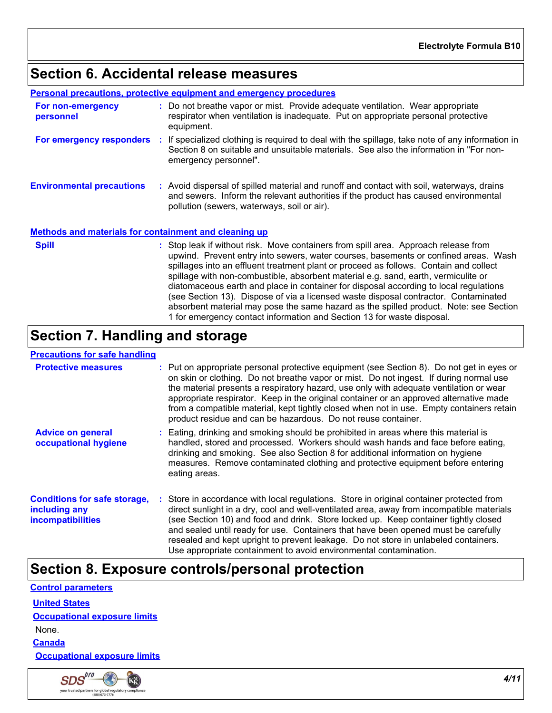# **Section 6. Accidental release measures**

**Personal precautions, protective equipment and emergency procedures**

| For non-emergency<br>personnel                               | : Do not breathe vapor or mist. Provide adequate ventilation. Wear appropriate<br>respirator when ventilation is inadequate. Put on appropriate personal protective<br>equipment.                                                                                                                                                                                                                                                                                                                                                                                                                                                  |
|--------------------------------------------------------------|------------------------------------------------------------------------------------------------------------------------------------------------------------------------------------------------------------------------------------------------------------------------------------------------------------------------------------------------------------------------------------------------------------------------------------------------------------------------------------------------------------------------------------------------------------------------------------------------------------------------------------|
| For emergency responders :                                   | If specialized clothing is required to deal with the spillage, take note of any information in<br>Section 8 on suitable and unsuitable materials. See also the information in "For non-<br>emergency personnel".                                                                                                                                                                                                                                                                                                                                                                                                                   |
| <b>Environmental precautions</b>                             | : Avoid dispersal of spilled material and runoff and contact with soil, waterways, drains<br>and sewers. Inform the relevant authorities if the product has caused environmental<br>pollution (sewers, waterways, soil or air).                                                                                                                                                                                                                                                                                                                                                                                                    |
| <b>Methods and materials for containment and cleaning up</b> |                                                                                                                                                                                                                                                                                                                                                                                                                                                                                                                                                                                                                                    |
| <b>Spill</b>                                                 | : Stop leak if without risk. Move containers from spill area. Approach release from<br>upwind. Prevent entry into sewers, water courses, basements or confined areas. Wash<br>spillages into an effluent treatment plant or proceed as follows. Contain and collect<br>spillage with non-combustible, absorbent material e.g. sand, earth, vermiculite or<br>diatomaceous earth and place in container for disposal according to local regulations<br>(see Section 13). Dispose of via a licensed waste disposal contractor. Contaminated<br>absorbent material may pose the same hazard as the spilled product. Note: see Section |

# 1 for emergency contact information and Section 13 for waste disposal.

# **Section 7. Handling and storage**

### **Precautions for safe handling**

| <b>Protective measures</b>                                                | : Put on appropriate personal protective equipment (see Section 8). Do not get in eyes or<br>on skin or clothing. Do not breathe vapor or mist. Do not ingest. If during normal use<br>the material presents a respiratory hazard, use only with adequate ventilation or wear<br>appropriate respirator. Keep in the original container or an approved alternative made<br>from a compatible material, kept tightly closed when not in use. Empty containers retain<br>product residue and can be hazardous. Do not reuse container. |
|---------------------------------------------------------------------------|--------------------------------------------------------------------------------------------------------------------------------------------------------------------------------------------------------------------------------------------------------------------------------------------------------------------------------------------------------------------------------------------------------------------------------------------------------------------------------------------------------------------------------------|
| <b>Advice on general</b><br>occupational hygiene                          | Eating, drinking and smoking should be prohibited in areas where this material is<br>handled, stored and processed. Workers should wash hands and face before eating,<br>drinking and smoking. See also Section 8 for additional information on hygiene<br>measures. Remove contaminated clothing and protective equipment before entering<br>eating areas.                                                                                                                                                                          |
| <b>Conditions for safe storage,</b><br>including any<br>incompatibilities | : Store in accordance with local regulations. Store in original container protected from<br>direct sunlight in a dry, cool and well-ventilated area, away from incompatible materials<br>(see Section 10) and food and drink. Store locked up. Keep container tightly closed<br>and sealed until ready for use. Containers that have been opened must be carefully<br>resealed and kept upright to prevent leakage. Do not store in unlabeled containers.<br>Use appropriate containment to avoid environmental contamination.       |

## **Section 8. Exposure controls/personal protection**

| <b>Control parameters</b>           |  |
|-------------------------------------|--|
| <b>United States</b>                |  |
| <b>Occupational exposure limits</b> |  |
| None.                               |  |
| <b>Canada</b>                       |  |
| <b>Occupational exposure limits</b> |  |

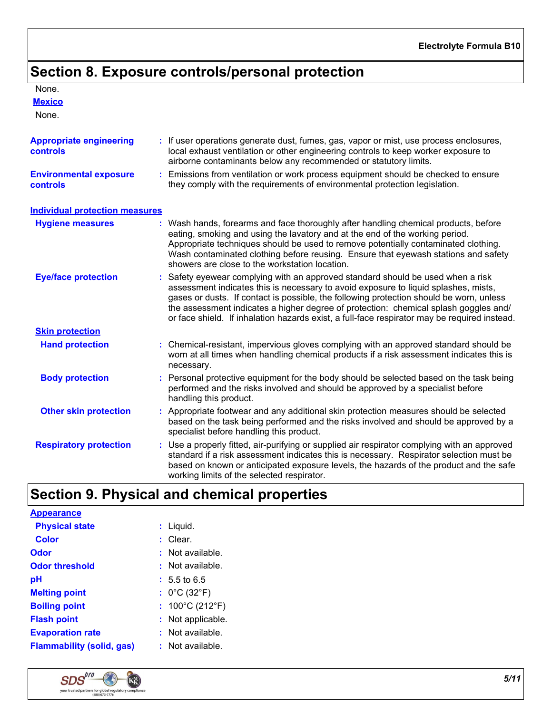# **Section 8. Exposure controls/personal protection**

### None.

**Mexico**

None.

| <b>Appropriate engineering</b><br><b>controls</b> | : If user operations generate dust, fumes, gas, vapor or mist, use process enclosures,<br>local exhaust ventilation or other engineering controls to keep worker exposure to<br>airborne contaminants below any recommended or statutory limits.                                                                                                                                                                                                        |
|---------------------------------------------------|---------------------------------------------------------------------------------------------------------------------------------------------------------------------------------------------------------------------------------------------------------------------------------------------------------------------------------------------------------------------------------------------------------------------------------------------------------|
| <b>Environmental exposure</b><br><b>controls</b>  | : Emissions from ventilation or work process equipment should be checked to ensure<br>they comply with the requirements of environmental protection legislation.                                                                                                                                                                                                                                                                                        |
| <b>Individual protection measures</b>             |                                                                                                                                                                                                                                                                                                                                                                                                                                                         |
| <b>Hygiene measures</b>                           | : Wash hands, forearms and face thoroughly after handling chemical products, before<br>eating, smoking and using the lavatory and at the end of the working period.<br>Appropriate techniques should be used to remove potentially contaminated clothing.<br>Wash contaminated clothing before reusing. Ensure that eyewash stations and safety<br>showers are close to the workstation location.                                                       |
| <b>Eye/face protection</b>                        | Safety eyewear complying with an approved standard should be used when a risk<br>assessment indicates this is necessary to avoid exposure to liquid splashes, mists,<br>gases or dusts. If contact is possible, the following protection should be worn, unless<br>the assessment indicates a higher degree of protection: chemical splash goggles and/<br>or face shield. If inhalation hazards exist, a full-face respirator may be required instead. |
| <b>Skin protection</b>                            |                                                                                                                                                                                                                                                                                                                                                                                                                                                         |
| <b>Hand protection</b>                            | : Chemical-resistant, impervious gloves complying with an approved standard should be<br>worn at all times when handling chemical products if a risk assessment indicates this is<br>necessary.                                                                                                                                                                                                                                                         |
| <b>Body protection</b>                            | : Personal protective equipment for the body should be selected based on the task being<br>performed and the risks involved and should be approved by a specialist before<br>handling this product.                                                                                                                                                                                                                                                     |
| <b>Other skin protection</b>                      | : Appropriate footwear and any additional skin protection measures should be selected<br>based on the task being performed and the risks involved and should be approved by a<br>specialist before handling this product.                                                                                                                                                                                                                               |
| <b>Respiratory protection</b>                     | : Use a properly fitted, air-purifying or supplied air respirator complying with an approved<br>standard if a risk assessment indicates this is necessary. Respirator selection must be<br>based on known or anticipated exposure levels, the hazards of the product and the safe<br>working limits of the selected respirator.                                                                                                                         |

# **Section 9. Physical and chemical properties**

| <b>Appearance</b>     |  |
|-----------------------|--|
| <b>Physical state</b> |  |

| <b>Physical state</b>            | $:$ Liquid.                          |
|----------------------------------|--------------------------------------|
| <b>Color</b>                     | $:$ Clear.                           |
| Odor                             | $:$ Not available.                   |
| Odor threshold                   | Not available.<br>t.                 |
| рH                               | $: 5.5 \text{ to } 6.5$              |
| <b>Melting point</b>             | : $0^{\circ}$ C (32 $^{\circ}$ F)    |
| <b>Boiling point</b>             | : $100^{\circ}$ C (212 $^{\circ}$ F) |
| <b>Flash point</b>               | Not applicable.<br>t.                |
| <b>Evaporation rate</b>          | $:$ Not available.                   |
| <b>Flammability (solid, gas)</b> | : Not available.                     |
|                                  |                                      |

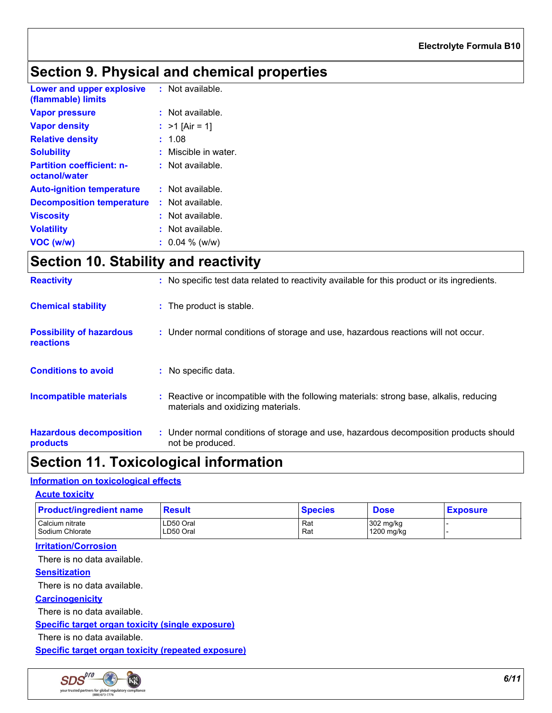# **Section 9. Physical and chemical properties**

| Lower and upper explosive<br>(flammable) limits   | $:$ Not available. |
|---------------------------------------------------|--------------------|
| <b>Vapor pressure</b>                             | $:$ Not available. |
| <b>Vapor density</b>                              | : $>1$ [Air = 1]   |
| <b>Relative density</b>                           | 1.08               |
| <b>Solubility</b>                                 | Miscible in water. |
| <b>Partition coefficient: n-</b><br>octanol/water | $:$ Not available. |
| <b>Auto-ignition temperature</b>                  | $:$ Not available. |
| <b>Decomposition temperature</b>                  | $:$ Not available. |
| <b>Viscosity</b>                                  | $:$ Not available. |
| <b>Volatility</b>                                 | $:$ Not available. |
| VOC (w/w)                                         | $: 0.04 \%$ (w/w)  |

# **Section 10. Stability and reactivity**

| <b>Reactivity</b>                            | : No specific test data related to reactivity available for this product or its ingredients.                                  |
|----------------------------------------------|-------------------------------------------------------------------------------------------------------------------------------|
| <b>Chemical stability</b>                    | : The product is stable.                                                                                                      |
| <b>Possibility of hazardous</b><br>reactions | : Under normal conditions of storage and use, hazardous reactions will not occur.                                             |
| <b>Conditions to avoid</b>                   | : No specific data.                                                                                                           |
| <b>Incompatible materials</b>                | : Reactive or incompatible with the following materials: strong base, alkalis, reducing<br>materials and oxidizing materials. |
| <b>Hazardous decomposition</b><br>products   | : Under normal conditions of storage and use, hazardous decomposition products should<br>not be produced.                     |

## **Section 11. Toxicological information**

### **Information on toxicological effects**

### **Acute toxicity**

| Calcium nitrate<br>302 mg/kg<br>LD50 Oral<br>Rat<br>LD50 Oral<br>Sodium Chlorate<br>1200 mg/kg<br>Rat | <b>Product/ingredient name</b> | <b>Result</b> | <b>Species</b> | <b>Dose</b> | <b>Exposure</b> |
|-------------------------------------------------------------------------------------------------------|--------------------------------|---------------|----------------|-------------|-----------------|
|                                                                                                       |                                |               |                |             |                 |

### **Irritation/Corrosion**

There is no data available.

### **Sensitization**

There is no data available.

### **Carcinogenicity**

There is no data available.

### **Specific target organ toxicity (single exposure)**

There is no data available.

**Specific target organ toxicity (repeated exposure)**

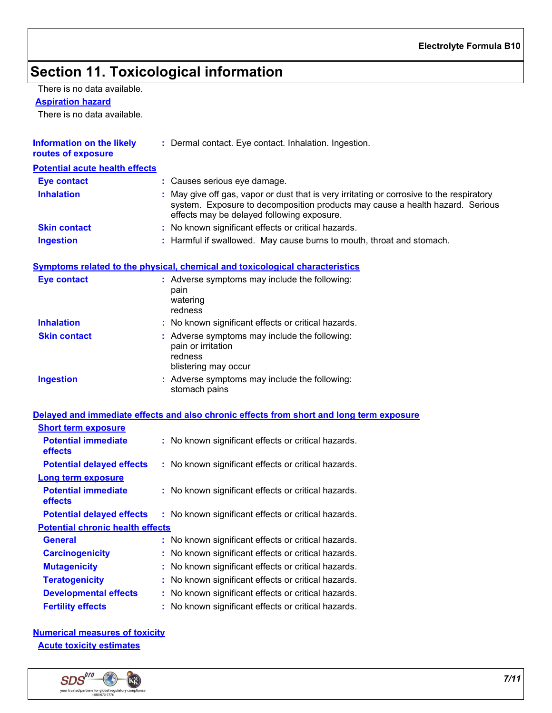# **Section 11. Toxicological information**

There is no data available.

#### **Aspiration hazard**

There is no data available.

| <b>Information on the likely</b><br>routes of exposure | : Dermal contact. Eye contact. Inhalation. Ingestion.                                                                                                                                                                    |
|--------------------------------------------------------|--------------------------------------------------------------------------------------------------------------------------------------------------------------------------------------------------------------------------|
| <b>Potential acute health effects</b>                  |                                                                                                                                                                                                                          |
| <b>Eye contact</b>                                     | : Causes serious eye damage.                                                                                                                                                                                             |
| <b>Inhalation</b>                                      | : May give off gas, vapor or dust that is very irritating or corrosive to the respiratory<br>system. Exposure to decomposition products may cause a health hazard. Serious<br>effects may be delayed following exposure. |
| <b>Skin contact</b>                                    | : No known significant effects or critical hazards.                                                                                                                                                                      |
| <b>Ingestion</b>                                       | : Harmful if swallowed. May cause burns to mouth, throat and stomach.                                                                                                                                                    |

### **Symptoms related to the physical, chemical and toxicological characteristics**

| <b>Eye contact</b>  | : Adverse symptoms may include the following:<br>pain<br>watering<br>redness                           |
|---------------------|--------------------------------------------------------------------------------------------------------|
| <b>Inhalation</b>   | : No known significant effects or critical hazards.                                                    |
| <b>Skin contact</b> | : Adverse symptoms may include the following:<br>pain or irritation<br>redness<br>blistering may occur |
| <b>Ingestion</b>    | : Adverse symptoms may include the following:<br>stomach pains                                         |

### **Delayed and immediate effects and also chronic effects from short and long term exposure**

| <b>Short term exposure</b>                   |                                                     |
|----------------------------------------------|-----------------------------------------------------|
| <b>Potential immediate</b><br><b>effects</b> | : No known significant effects or critical hazards. |
| <b>Potential delayed effects</b>             | : No known significant effects or critical hazards. |
| <b>Long term exposure</b>                    |                                                     |
| <b>Potential immediate</b><br><b>effects</b> | : No known significant effects or critical hazards. |
| <b>Potential delayed effects</b>             | : No known significant effects or critical hazards. |
| <b>Potential chronic health effects</b>      |                                                     |
| <b>General</b>                               | : No known significant effects or critical hazards. |
| <b>Carcinogenicity</b>                       | : No known significant effects or critical hazards. |
| <b>Mutagenicity</b>                          | : No known significant effects or critical hazards. |
| <b>Teratogenicity</b>                        | : No known significant effects or critical hazards. |
| <b>Developmental effects</b>                 | : No known significant effects or critical hazards. |
| <b>Fertility effects</b>                     | : No known significant effects or critical hazards. |

**Numerical measures of toxicity Acute toxicity estimates**

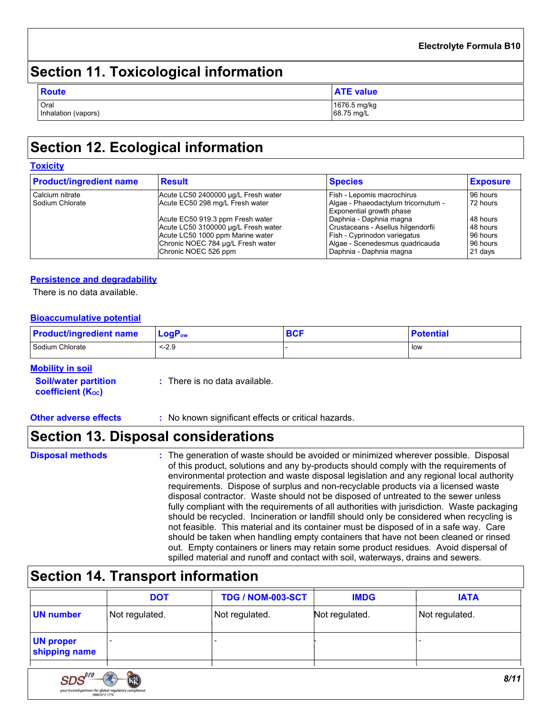### **Electrolyte Formula B10**

# **Section 11. Toxicological information**

| <b>Route</b>                | <b>ATE</b> value           |
|-----------------------------|----------------------------|
| Oral<br>Inhalation (vapors) | 1676.5 mg/kg<br>68.75 mg/L |

# **Section 12. Ecological information**

### **Toxicity**

| <b>Product/ingredient name</b> | <b>Result</b>                       | <b>Species</b>                                                         | <b>Exposure</b> |
|--------------------------------|-------------------------------------|------------------------------------------------------------------------|-----------------|
| Calcium nitrate                | Acute LC50 2400000 µg/L Fresh water | Fish - Lepomis macrochirus                                             | 96 hours        |
| l Sodium Chlorate              | Acute EC50 298 mg/L Fresh water     | Algae - Phaeodactylum tricornutum -<br><b>Exponential growth phase</b> | 72 hours        |
|                                | Acute EC50 919.3 ppm Fresh water    | l Daphnia - Daphnia magna                                              | 48 hours        |
|                                | Acute LC50 3100000 µg/L Fresh water | Crustaceans - Asellus hilgendorfii                                     | 48 hours        |
|                                | Acute LC50 1000 ppm Marine water    | Fish - Cyprinodon variegatus                                           | 96 hours        |
|                                | Chronic NOEC 784 µg/L Fresh water   | Algae - Scenedesmus quadricauda                                        | 96 hours        |
|                                | Chronic NOEC 526 ppm                | Daphnia - Daphnia magna                                                | 21 days         |

### **Persistence and degradability**

There is no data available.

### **Bioaccumulative potential**

| <b>Product/ingredient name</b> | ∣ LoqP <sub>ow</sub> | <b>BCF</b> | <b>Potential</b> |
|--------------------------------|----------------------|------------|------------------|
| Sodium Chlorate                | $< -2.9$             |            | low              |

### **Mobility in soil**

| <b>Soil/water partition</b> | : There is no data available. |
|-----------------------------|-------------------------------|
| <b>coefficient (Koc)</b>    |                               |

### **Other adverse effects** : No known significant effects or critical hazards.

## **Section 13. Disposal considerations**

**Disposal methods :**

SDS. your trusted partne The generation of waste should be avoided or minimized wherever possible. Disposal of this product, solutions and any by-products should comply with the requirements of environmental protection and waste disposal legislation and any regional local authority requirements. Dispose of surplus and non-recyclable products via a licensed waste disposal contractor. Waste should not be disposed of untreated to the sewer unless fully compliant with the requirements of all authorities with jurisdiction. Waste packaging should be recycled. Incineration or landfill should only be considered when recycling is not feasible. This material and its container must be disposed of in a safe way. Care should be taken when handling empty containers that have not been cleaned or rinsed out. Empty containers or liners may retain some product residues. Avoid dispersal of spilled material and runoff and contact with soil, waterways, drains and sewers.

## **Section 14. Transport information**

|                                   | <b>DOT</b>                                    | <b>TDG / NOM-003-SCT</b> | <b>IMDG</b>    | <b>IATA</b>    |
|-----------------------------------|-----------------------------------------------|--------------------------|----------------|----------------|
| <b>UN number</b>                  | Not regulated.                                | Not regulated.           | Not regulated. | Not regulated. |
| <b>UN proper</b><br>shipping name |                                               |                          |                |                |
|                                   |                                               |                          |                |                |
|                                   | $\sim$<br>the contract of the contract of the |                          |                |                |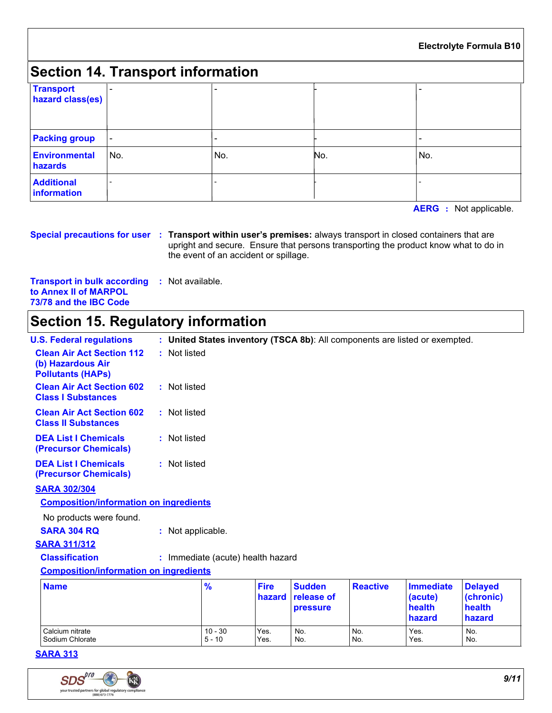### **Electrolyte Formula B10**

# **Section 14. Transport information**

| <b>Transport</b><br>hazard class(es) | -                        |                          |     |                          |
|--------------------------------------|--------------------------|--------------------------|-----|--------------------------|
| <b>Packing group</b>                 | I –                      | $\overline{\phantom{a}}$ |     | $\overline{\phantom{0}}$ |
| <b>Environmental</b><br>hazards      | No.                      | No.                      | No. | No.                      |
| <b>Additional</b><br>information     | $\overline{\phantom{0}}$ |                          |     |                          |

**AERG :** Not applicable.

#### **Special precautions for user Transport within user's premises:** always transport in closed containers that are **:** upright and secure. Ensure that persons transporting the product know what to do in the event of an accident or spillage.

**Transport in bulk according :** Not available. **to Annex II of MARPOL 73/78 and the IBC Code**

# **Section 15. Regulatory information**

| <b>U.S. Federal regulations</b>                                                   |                   |                                   |                       |                                                |                 | : United States inventory (TSCA 8b): All components are listed or exempted. |                                                 |
|-----------------------------------------------------------------------------------|-------------------|-----------------------------------|-----------------------|------------------------------------------------|-----------------|-----------------------------------------------------------------------------|-------------------------------------------------|
| <b>Clean Air Act Section 112</b><br>(b) Hazardous Air<br><b>Pollutants (HAPs)</b> | : Not listed      |                                   |                       |                                                |                 |                                                                             |                                                 |
| <b>Clean Air Act Section 602</b><br><b>Class I Substances</b>                     | : Not listed      |                                   |                       |                                                |                 |                                                                             |                                                 |
| <b>Clean Air Act Section 602</b><br><b>Class II Substances</b>                    | : Not listed      |                                   |                       |                                                |                 |                                                                             |                                                 |
| <b>DEA List I Chemicals</b><br>(Precursor Chemicals)                              | : Not listed      |                                   |                       |                                                |                 |                                                                             |                                                 |
| <b>DEA List I Chemicals</b><br>(Precursor Chemicals)                              | : Not listed      |                                   |                       |                                                |                 |                                                                             |                                                 |
| <b>SARA 302/304</b>                                                               |                   |                                   |                       |                                                |                 |                                                                             |                                                 |
| <b>Composition/information on ingredients</b>                                     |                   |                                   |                       |                                                |                 |                                                                             |                                                 |
| No products were found.                                                           |                   |                                   |                       |                                                |                 |                                                                             |                                                 |
| <b>SARA 304 RQ</b>                                                                | : Not applicable. |                                   |                       |                                                |                 |                                                                             |                                                 |
| <b>SARA 311/312</b>                                                               |                   |                                   |                       |                                                |                 |                                                                             |                                                 |
| <b>Classification</b>                                                             |                   | : Immediate (acute) health hazard |                       |                                                |                 |                                                                             |                                                 |
| <b>Composition/information on ingredients</b>                                     |                   |                                   |                       |                                                |                 |                                                                             |                                                 |
| <b>Name</b>                                                                       |                   | $\frac{9}{6}$                     | <b>Fire</b><br>hazard | <b>Sudden</b><br>release of<br><b>pressure</b> | <b>Reactive</b> | <b>Immediate</b><br>(acute)<br>health<br>hazard                             | <b>Delayed</b><br>(chronic)<br>health<br>hazard |
| Calcium nitrate<br>Sodium Chlorate                                                |                   | $10 - 30$<br>$5 - 10$             | Yes.<br>Yes.          | No.<br>No.                                     | No.<br>No.      | Yes.<br>Yes.                                                                | No.<br>No.                                      |

### **SARA 313**

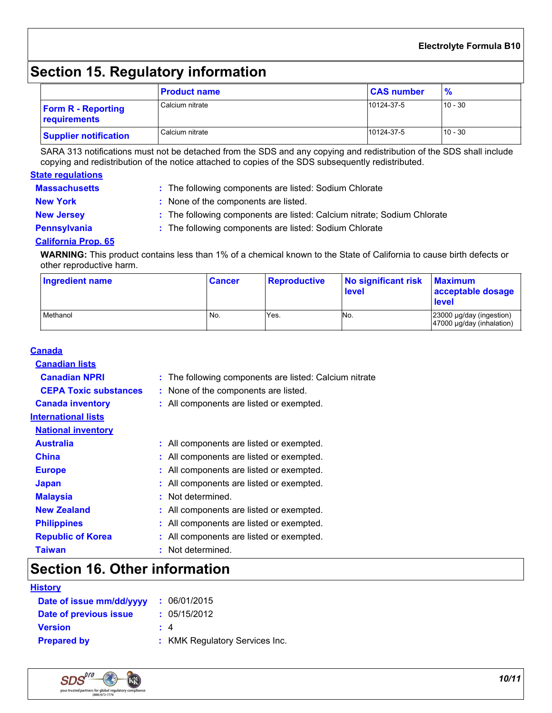### **Electrolyte Formula B10**

# **Section 15. Regulatory information**

|                                           | <b>Product name</b> | <b>CAS number</b> | $\frac{9}{6}$ |
|-------------------------------------------|---------------------|-------------------|---------------|
| <b>Form R - Reporting</b><br>requirements | Calcium nitrate     | 10124-37-5        | $10 - 30$     |
| <b>Supplier notification</b>              | Calcium nitrate     | 10124-37-5        | $10 - 30$     |

SARA 313 notifications must not be detached from the SDS and any copying and redistribution of the SDS shall include copying and redistribution of the notice attached to copies of the SDS subsequently redistributed.

### **State regulations**

| <b>Massachusetts</b> | : The following components are listed: Sodium Chlorate                  |
|----------------------|-------------------------------------------------------------------------|
| <b>New York</b>      | : None of the components are listed.                                    |
| <b>New Jersey</b>    | : The following components are listed: Calcium nitrate; Sodium Chlorate |
| <b>Pennsylvania</b>  | : The following components are listed: Sodium Chlorate                  |

### **California Prop. 65**

**WARNING:** This product contains less than 1% of a chemical known to the State of California to cause birth defects or other reproductive harm.

| Ingredient name | <b>Cancer</b> | <b>Reproductive</b> | No significant risk<br>level | <b>Maximum</b><br>acceptable dosage<br><b>level</b>        |
|-----------------|---------------|---------------------|------------------------------|------------------------------------------------------------|
| Methanol        | No.           | Yes.                | No.                          | 23000 µg/day (ingestion)<br>$47000 \mu g/day$ (inhalation) |

| <b>Canada</b>                |                                                        |
|------------------------------|--------------------------------------------------------|
| <b>Canadian lists</b>        |                                                        |
| <b>Canadian NPRI</b>         | : The following components are listed: Calcium nitrate |
| <b>CEPA Toxic substances</b> | : None of the components are listed.                   |
| <b>Canada inventory</b>      | : All components are listed or exempted.               |
| <b>International lists</b>   |                                                        |
| <b>National inventory</b>    |                                                        |
| <b>Australia</b>             | : All components are listed or exempted.               |
| <b>China</b>                 | : All components are listed or exempted.               |
| <b>Europe</b>                | : All components are listed or exempted.               |
| <b>Japan</b>                 | : All components are listed or exempted.               |
| <b>Malaysia</b>              | : Not determined.                                      |
| <b>New Zealand</b>           | : All components are listed or exempted.               |
| <b>Philippines</b>           | : All components are listed or exempted.               |
| <b>Republic of Korea</b>     | : All components are listed or exempted.               |
| <b>Taiwan</b>                | : Not determined.                                      |

# **Section 16. Other information**

### **History**

| Date of issue mm/dd/yyyy | : 06/01/2015                   |
|--------------------------|--------------------------------|
| Date of previous issue   | : 05/15/2012                   |
| <b>Version</b>           | $\pm$ 4                        |
| <b>Prepared by</b>       | : KMK Regulatory Services Inc. |